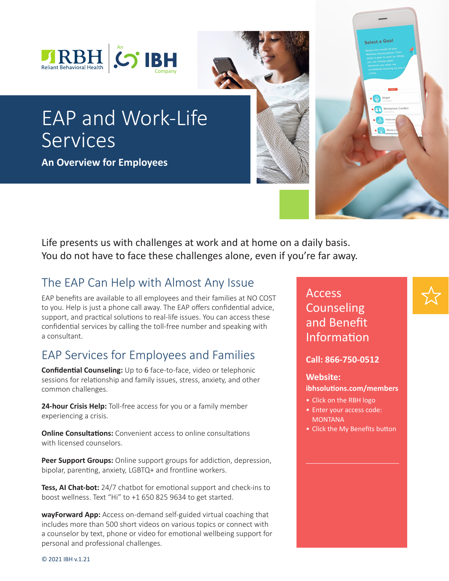



**An Overview for Employees**

Life presents us with challenges at work and at home on a daily basis. You do not have to face these challenges alone, even if you're far away.

# The EAP Can Help with Almost Any Issue

EAP benefits are available to all employees and their families at NO COST to you. Help is just a phone call away. The EAP offers confidential advice, support, and practical solutions to real-life issues. You can access these confidential services by calling the toll-free number and speaking with a consultant.

## EAP Services for Employees and Families

**Confidential Counseling:** Up to 6 face-to-face, video or telephonic sessions for relationship and family issues, stress, anxiety, and other common challenges.

**24-hour Crisis Help:** Toll-free access for you or a family member experiencing a crisis.

**Online Consultations:** Convenient access to online consultations with licensed counselors.

**Peer Support Groups:** Online support groups for addiction, depression, bipolar, parenting, anxiety, LGBTQ+ and frontline workers.

**Tess, AI Chat-bot:** 24/7 chatbot for emotional support and check-ins to boost wellness. Text "Hi" to +1 650 825 9634 to get started.

**wayForward App:** Access on-demand self-guided virtual coaching that includes more than 500 short videos on various topics or connect with a counselor by text, phone or video for emotional wellbeing support for personal and professional challenges.

Access Counseling and Benefit Information

Select a Goal

(b) Anger

**Call: 866-750-0512**

## **Website:**

**ibhsolutions.com/members** 

- Click on the RBH logo
- Enter your access code: **MONTANA**
- Click the My Benefits button